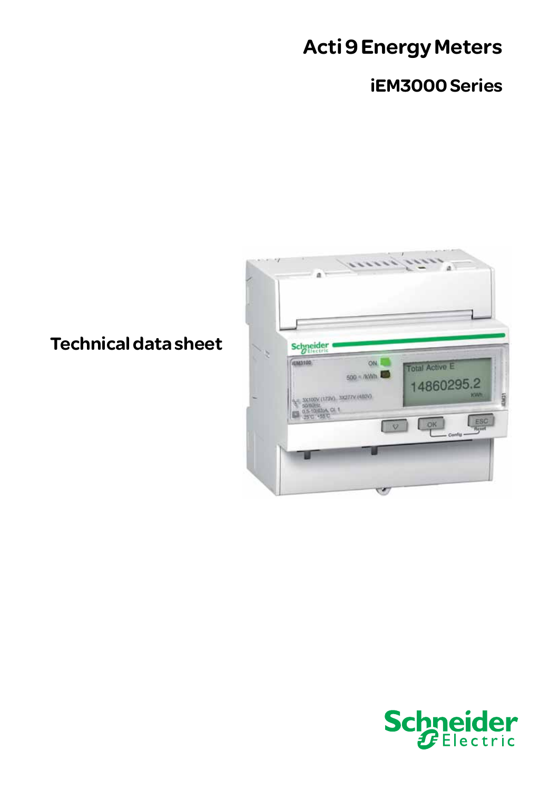# Acti 9 Energy Meters

# iEM3000 Series



Technical data sheet

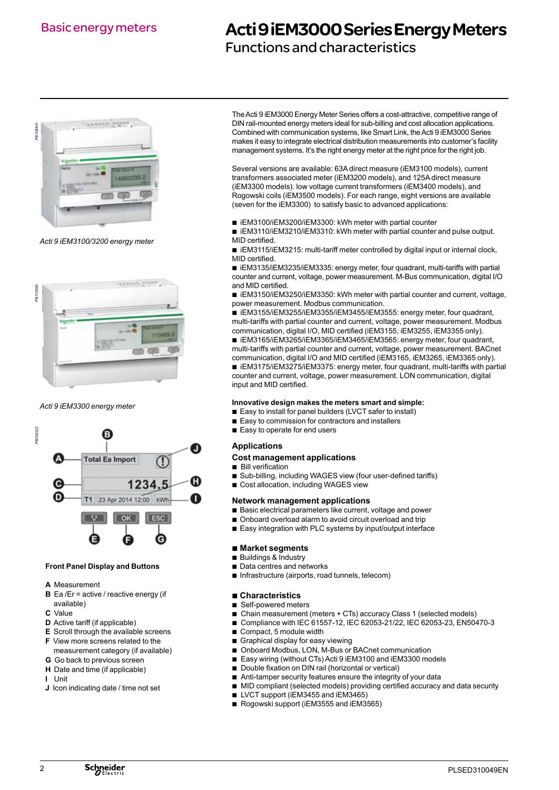### Basic energy meters

### Acti 9 iEM3000 Series Energy Meters

Functions and characteristics



*Acti 9 iEM3100/3200 energy meter*



*Acti 9 iEM3300 energy meter*



#### **Front Panel Display and Buttons**

- **A** Measurement
- **B** Ea /Er = active / reactive energy (if available)
- **C** Value
- **D** Active tariff (if applicable)
- **E** Scroll through the available screens
- **F** View more screens related to the measurement category (if available)
- **G** Go back to previous screen
- **H** Date and time (if applicable)
- **I** Unit
- **J** Icon indicating date / time not set

The Acti 9 iEM3000 Energy Meter Series offers a cost-attractive, competitive range of DIN rail-mounted energy meters ideal for sub-billing and cost allocation applications. Combined with communication systems, like Smart Link, the Acti 9 iEM3000 Series makes it easy to integrate electrical distribution measurements into customer's facility management systems. It's the right energy meter at the right price for the right job.

Several versions are available: 63A direct measure (iEM3100 models), current transformers associated meter (iEM3200 models), and 125A direct measure (iEM3300 models). low voltage current transformers (iEM3400 models), and Rogowski coils (iEM3500 models). For each range, eight versions are available (seven for the iEM3300) to satisfy basic to advanced applications:

b iEM3100/iEM3200/iEM3300: kWh meter with partial counter

■ iEM3110/iEM3210/iEM3310: kWh meter with partial counter and pulse output. MID certified.

■ iEM3115/iEM3215: multi-tariff meter controlled by digital input or internal clock, MID certified.

■ iEM3135/iEM3235/iEM3335: energy meter, four quadrant, multi-tariffs with partial counter and current, voltage, power measurement. M-Bus communication, digital I/O and MID certified.

■ iEM3150/iEM3250/iEM3350: kWh meter with partial counter and current, voltage, power measurement. Modbus communication.

b iEM3155/iEM3255/iEM3355/iEM3455/iEM3555: energy meter, four quadrant, multi-tariffs with partial counter and current, voltage, power measurement. Modbus communication, digital I/O, MID certified (iEM3155, iEM3255, iEM3355 only).

b iEM3165/iEM3265/iEM3365/iEM3465/iEM3565: energy meter, four quadrant, multi-tariffs with partial counter and current, voltage, power measurement. BACnet communication, digital I/O and MID certified (iEM3165, iEM3265, iEM3365 only). b iEM3175/iEM3275/iEM3375: energy meter, four quadrant, multi-tariffs with partial counter and current, voltage, power measurement. LON communication, digital input and MID certified.

#### **Innovative design makes the meters smart and simple:**

- Easy to install for panel builders (LVCT safer to install)
- Easy to commission for contractors and installers
- $\blacksquare$  Easy to operate for end users

#### **Applications**

#### **Cost management applications**

- $\blacksquare$  Bill verification
- Sub-billing, including WAGES view (four user-defined tariffs)
- Cost allocation, including WAGES view

#### **Network management applications**

- $\blacksquare$  Basic electrical parameters like current, voltage and power
- $\blacksquare$  Onboard overload alarm to avoid circuit overload and trip
- Easy integration with PLC systems by input/output interface

#### ■ Market segments

- Buildings & Industry
- $\blacksquare$  Data centres and networks
- $\blacksquare$  Infrastructure (airports, road tunnels, telecom)

#### ■ Characteristics

- Self-powered meters
- b�Chain measurement (meters + CTs) accuracy Class 1 (selected models)
- Compliance with IEC 61557-12, IEC 62053-21/22, IEC 62053-23, EN50470-3
- $\blacksquare$  Compact, 5 module width
- $\blacksquare$  Graphical display for easy viewing
- Onboard Modbus, LON, M-Bus or BACnet communication
- Easy wiring (without CTs) Acti 9 iEM3100 and iEM3300 models
- Double fixation on DIN rail (horizontal or vertical)
- $\blacksquare$  Anti-tamper security features ensure the integrity of your data
- $\blacksquare$  MID compliant (selected models) providing certified accuracy and data security
- LVCT support (iEM3455 and iEM3465)
- Rogowski support (iEM3555 and iEM3565)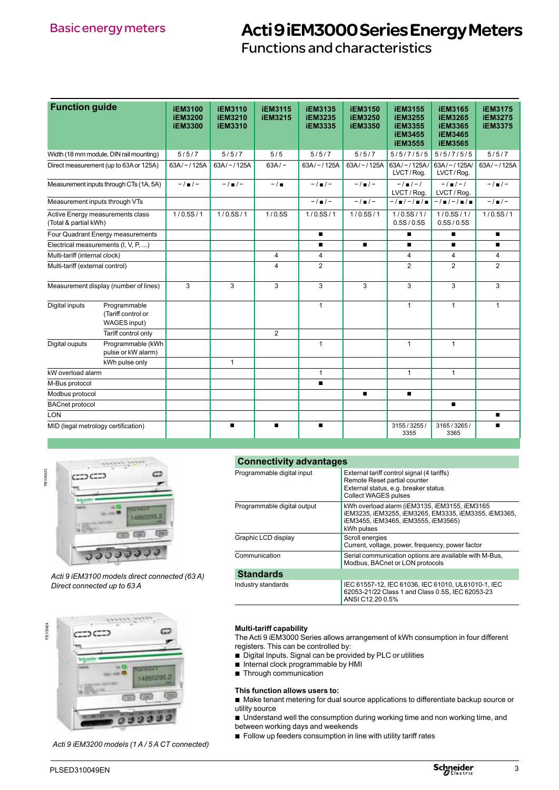Functions and characteristics

| <b>Function guide</b>                                     |                                                           | <b>iEM3100</b><br><b>iEM3200</b><br><b>iEM3300</b> | <b>iEM3110</b><br><b>iEM3210</b><br><b>iEM3310</b> | <b>iEM3115</b><br><b>iEM3215</b> | <b>iEM3135</b><br><b>iEM3235</b><br><b>iEM3335</b> | <b>iEM3150</b><br><b>iEM3250</b><br><b>iEM3350</b> | <b>iEM3155</b><br><b>iEM3255</b><br><b>iEM3355</b><br><b>iEM3455</b><br><b>iEM3555</b> | <b>iEM3165</b><br><b>iEM3265</b><br><b>iEM3365</b><br><b>iEM3465</b><br><b>iEM3565</b> | <b>iEM3175</b><br><b>iEM3275</b><br><b>iEM3375</b> |
|-----------------------------------------------------------|-----------------------------------------------------------|----------------------------------------------------|----------------------------------------------------|----------------------------------|----------------------------------------------------|----------------------------------------------------|----------------------------------------------------------------------------------------|----------------------------------------------------------------------------------------|----------------------------------------------------|
| Width (18 mm module, DIN rail mounting)                   |                                                           | 5/5/7                                              | 5/5/7                                              | 5/5                              | 5/5/7                                              | 5/5/7                                              | 5/5/7/5/5                                                                              | 5/5/7/5/5                                                                              | 5/5/7                                              |
|                                                           | Direct measurement (up to 63A or 125A)                    | $63A/-/125A$                                       | $63A/-/125A$                                       | $63A/-$                          | $63A/-/125A$                                       | $63A/-/125A$                                       | $63A/-/125A/$<br>LVCT/Rog.                                                             | $63A/-/125A/$<br>LVCT/Rog.                                                             | $63A/-/125A$                                       |
|                                                           | Measurement inputs through CTs (1A, 5A)                   | $-1$ = $1-$                                        | $-1$ = $1-$                                        | $-1$                             | $-1$ = $1-$                                        | $-1$ $-$                                           | $-1$ $-1$<br>LVCT / Rog.                                                               | $-1$ = $1-1$<br>LVCT/Rog.                                                              | $-1$ = $1-$                                        |
| Measurement inputs through VTs                            |                                                           |                                                    |                                                    |                                  | $-1$ = $1-$                                        | $-1$ $-$                                           | $-1$ = $1-1$ = $1$ =                                                                   | $-1$ = $1-1$ = $1-$                                                                    | $-1$ = $1-$                                        |
| Active Energy measurements class<br>(Total & partial kWh) |                                                           | 1/0.5S/1                                           | 1/0.5S/1                                           | 1/0.5S                           | 1/0.5S/1                                           | 1/0.5S/1                                           | 1/0.5S/1/<br>0.5S/0.5S                                                                 | 1/0.5S/1/<br>0.5S/0.5S                                                                 | 1/0.5S/1                                           |
|                                                           | Four Quadrant Energy measurements                         |                                                    |                                                    |                                  | п                                                  |                                                    | $\blacksquare$                                                                         | п                                                                                      | п                                                  |
| Electrical measurements (I, V, P, )                       |                                                           |                                                    |                                                    |                                  | $\blacksquare$                                     | п                                                  | $\blacksquare$                                                                         | п                                                                                      | $\blacksquare$                                     |
| Multi-tariff (internal clock)                             |                                                           |                                                    |                                                    | $\overline{4}$                   | 4                                                  |                                                    | $\overline{4}$                                                                         | 4                                                                                      | 4                                                  |
| Multi-tariff (external control)                           |                                                           |                                                    |                                                    | 4                                | $\overline{2}$                                     |                                                    | 2                                                                                      | $\overline{2}$                                                                         | $\overline{2}$                                     |
|                                                           | Measurement display (number of lines)                     | 3                                                  | 3                                                  | 3                                | 3                                                  | 3                                                  | 3                                                                                      | 3                                                                                      | 3                                                  |
| Digital inputs                                            | Programmable<br>(Tariff control or<br><b>WAGES input)</b> |                                                    |                                                    |                                  | $\mathbf{1}$                                       |                                                    | $\mathbf{1}$                                                                           | $\mathbf{1}$                                                                           | $\mathbf{1}$                                       |
|                                                           | Tariff control only                                       |                                                    |                                                    | $\overline{2}$                   |                                                    |                                                    |                                                                                        |                                                                                        |                                                    |
| Digital ouputs                                            | Programmable (kWh<br>pulse or kW alarm)                   |                                                    |                                                    |                                  | $\mathbf{1}$                                       |                                                    | $\mathbf{1}$                                                                           | $\mathbf{1}$                                                                           |                                                    |
|                                                           | kWh pulse only                                            |                                                    | $\mathbf{1}$                                       |                                  |                                                    |                                                    |                                                                                        |                                                                                        |                                                    |
| kW overload alarm                                         |                                                           |                                                    |                                                    |                                  | $\mathbf{1}$                                       |                                                    | $\mathbf{1}$                                                                           | $\mathbf{1}$                                                                           |                                                    |
| M-Bus protocol                                            |                                                           |                                                    |                                                    |                                  | $\blacksquare$                                     |                                                    |                                                                                        |                                                                                        |                                                    |
| Modbus protocol                                           |                                                           |                                                    |                                                    |                                  |                                                    | $\blacksquare$                                     | $\blacksquare$                                                                         |                                                                                        |                                                    |
| <b>BACnet protocol</b>                                    |                                                           |                                                    |                                                    |                                  |                                                    |                                                    |                                                                                        | п                                                                                      |                                                    |
| LON                                                       |                                                           |                                                    |                                                    |                                  |                                                    |                                                    |                                                                                        |                                                                                        | $\blacksquare$                                     |
| MID (legal metrology certification)                       |                                                           |                                                    | $\blacksquare$                                     | п                                | $\blacksquare$                                     |                                                    | 3155 / 3255 /<br>3355                                                                  | 3165 / 3265 /<br>3365                                                                  | $\blacksquare$                                     |



*Acti 9 iEM3100 models direct connected (63 A) Direct connected up to 63 A*



*Acti 9 iEM3200 models (1 A / 5 A CT connected)*

### **Connectivity advantages**

| Programmable digital input  | External tariff control signal (4 tariffs)<br>Remote Reset partial counter<br>External status, e.g. breaker status<br><b>Collect WAGES pulses</b>          |
|-----------------------------|------------------------------------------------------------------------------------------------------------------------------------------------------------|
| Programmable digital output | kWh overload alarm (iEM3135, iEM3155, iEM3165<br>IEM3235, IEM3255, IEM3265, EM3335, IEM3355, IEM3365,<br>iEM3455, iEM3465, iEM3555, iEM3565)<br>kWh pulses |
| Graphic LCD display         | Scroll energies<br>Current, voltage, power, frequency, power factor                                                                                        |
| Communication               | Serial communication options are available with M-Bus,<br>Modbus, BACnet or LON protocols                                                                  |
| <b>Standards</b>            |                                                                                                                                                            |
| Industry standards          | IEC 61557-12, IEC 61036, IEC 61010, UL61010-1, IEC<br>62053-21/22 Class 1 and Class 0.5S, IEC 62053-23<br>ANSI C12.20 0.5%                                 |

#### **Multi-tariff capability**

The Acti 9 iEM3000 Series allows arrangement of kWh consumption in four different registers. This can be controlled by:

- $\Box$  Digital Inputs. Signal can be provided by PLC or utilities
- $\blacksquare$  Internal clock programmable by HMI
- $\blacksquare$  Through communication

#### **This function allows users to:**

 $\blacksquare$  Make tenant metering for dual source applications to differentiate backup source or utility source

- $\blacksquare$  Understand well the consumption during working time and non working time, and between working days and weekends
- $\blacksquare$  Follow up feeders consumption in line with utility tariff rates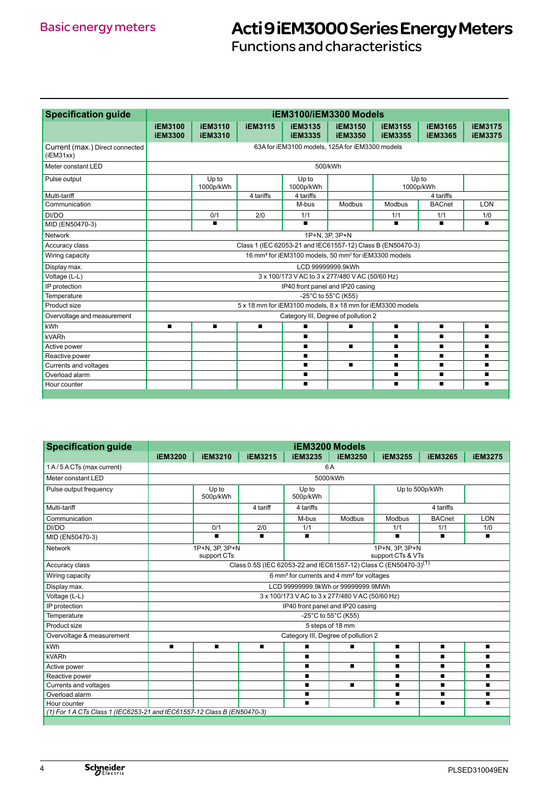Functions and characteristics

| <b>Specification guide</b>                   | iEM3100/iEM3300 Models                                                       |                                  |                |                                  |                                  |                                  |                                  |                                  |
|----------------------------------------------|------------------------------------------------------------------------------|----------------------------------|----------------|----------------------------------|----------------------------------|----------------------------------|----------------------------------|----------------------------------|
|                                              | <b>iEM3100</b><br><b>iEM3300</b>                                             | <b>iEM3110</b><br><b>iEM3310</b> | <b>iEM3115</b> | <b>iEM3135</b><br><b>iEM3335</b> | <b>iEM3150</b><br><b>iEM3350</b> | <b>iEM3155</b><br><b>iEM3355</b> | <b>iEM3165</b><br><b>iEM3365</b> | <b>iEM3175</b><br><b>iEM3375</b> |
| Current (max.) Direct connected<br>(iEM31xx) | 63A for iEM3100 models, 125A for iEM3300 models                              |                                  |                |                                  |                                  |                                  |                                  |                                  |
| Meter constant LED                           | 500/kWh                                                                      |                                  |                |                                  |                                  |                                  |                                  |                                  |
| Pulse output                                 |                                                                              | Up to<br>1000p/kWh               |                | Up to<br>1000p/kWh               |                                  |                                  | Up to<br>1000p/kWh               |                                  |
| Multi-tariff                                 |                                                                              |                                  | 4 tariffs      | 4 tariffs                        |                                  |                                  | 4 tariffs                        |                                  |
| Communication                                |                                                                              |                                  |                | M-bus                            | Modbus                           | Modbus                           | <b>BACnet</b>                    | <b>LON</b>                       |
| DI/DO                                        |                                                                              | 0/1                              | 2/0            | 1/1                              |                                  | 1/1                              | 1/1                              | 1/0                              |
| MID (EN50470-3)                              |                                                                              | $\blacksquare$                   |                | $\blacksquare$                   |                                  | $\blacksquare$                   | ■                                | $\blacksquare$                   |
| <b>Network</b>                               | 1P+N, 3P, 3P+N                                                               |                                  |                |                                  |                                  |                                  |                                  |                                  |
| Accuracy class                               | Class 1 (IEC 62053-21 and IEC61557-12) Class B (EN50470-3)                   |                                  |                |                                  |                                  |                                  |                                  |                                  |
| Wiring capacity                              | 16 mm <sup>2</sup> for iEM3100 models, 50 mm <sup>2</sup> for iEM3300 models |                                  |                |                                  |                                  |                                  |                                  |                                  |
| Display max.                                 | LCD 99999999.9kWh                                                            |                                  |                |                                  |                                  |                                  |                                  |                                  |
| Voltage (L-L)                                | 3 x 100/173 V AC to 3 x 277/480 V AC (50/60 Hz)                              |                                  |                |                                  |                                  |                                  |                                  |                                  |
| IP protection                                | IP40 front panel and IP20 casing                                             |                                  |                |                                  |                                  |                                  |                                  |                                  |
| Temperature                                  | -25°C to 55°C (K55)                                                          |                                  |                |                                  |                                  |                                  |                                  |                                  |
| Product size                                 | 5 x 18 mm for iEM3100 models, 8 x 18 mm for iEM3300 models                   |                                  |                |                                  |                                  |                                  |                                  |                                  |
| Overvoltage and measurement                  | Category III, Degree of pollution 2                                          |                                  |                |                                  |                                  |                                  |                                  |                                  |
| kWh                                          | $\blacksquare$                                                               | $\blacksquare$                   | $\blacksquare$ |                                  | $\blacksquare$                   | $\blacksquare$                   | $\blacksquare$                   | п                                |
| kVARh                                        |                                                                              |                                  |                | п                                |                                  | $\blacksquare$                   | $\blacksquare$                   | $\blacksquare$                   |
| Active power                                 |                                                                              |                                  |                |                                  | $\blacksquare$                   | $\blacksquare$                   | $\blacksquare$                   | $\blacksquare$                   |
| Reactive power                               |                                                                              |                                  |                | $\blacksquare$                   |                                  | $\blacksquare$                   | $\blacksquare$                   | $\blacksquare$                   |
| Currents and voltages                        |                                                                              |                                  |                |                                  | $\blacksquare$                   | $\blacksquare$                   | $\blacksquare$                   | п                                |
| Overload alarm                               |                                                                              |                                  |                | $\blacksquare$                   |                                  | $\blacksquare$                   | $\blacksquare$                   | $\blacksquare$                   |
| Hour counter                                 |                                                                              |                                  |                |                                  |                                  | $\blacksquare$                   |                                  |                                  |

| <b>Specification guide</b>                                              | <b>iEM3200 Models</b>                                                                                         |                               |                |                                     |                |                |                |                |  |
|-------------------------------------------------------------------------|---------------------------------------------------------------------------------------------------------------|-------------------------------|----------------|-------------------------------------|----------------|----------------|----------------|----------------|--|
|                                                                         | <b>iEM3200</b>                                                                                                | <b>iEM3210</b>                | <b>iEM3215</b> | <b>iEM3235</b>                      | <b>iEM3250</b> | <b>iEM3255</b> | <b>iEM3265</b> | <b>iEM3275</b> |  |
| 1 A/5 A CTs (max current)                                               | 6A                                                                                                            |                               |                |                                     |                |                |                |                |  |
| Meter constant LED                                                      |                                                                                                               |                               |                |                                     | 5000/kWh       |                |                |                |  |
| Pulse output frequency                                                  |                                                                                                               | Up to<br>500p/kWh             |                | Up to<br>500p/kWh                   |                |                | Up to 500p/kWh |                |  |
| Multi-tariff                                                            |                                                                                                               |                               | 4 tariff       | 4 tariffs                           |                |                | 4 tariffs      |                |  |
| Communication                                                           |                                                                                                               |                               |                | M-bus                               | Modbus         | Modbus         | <b>BACnet</b>  | LON            |  |
| DI/DO                                                                   |                                                                                                               | 0/1                           | 2/0            | 1/1                                 |                | 1/1            | 1/1            | 1/0            |  |
| MID (EN50470-3)                                                         |                                                                                                               | $\blacksquare$                | $\blacksquare$ | $\blacksquare$                      |                | $\blacksquare$ | $\blacksquare$ | $\blacksquare$ |  |
| Network                                                                 |                                                                                                               | 1P+N, 3P, 3P+N<br>support CTs |                | 1P+N, 3P, 3P+N<br>support CTs & VTs |                |                |                |                |  |
| Accuracy class                                                          | Class 0.5S (IEC 62053-22 and IEC61557-12) Class C (EN50470-3) <sup>(1)</sup>                                  |                               |                |                                     |                |                |                |                |  |
| Wiring capacity                                                         | 6 mm <sup>2</sup> for currents and 4 mm <sup>2</sup> for voltages                                             |                               |                |                                     |                |                |                |                |  |
| Display max.                                                            | LCD 99999999.9kWh or 99999999.9MWh                                                                            |                               |                |                                     |                |                |                |                |  |
| Voltage (L-L)                                                           | 3 x 100/173 V AC to 3 x 277/480 V AC (50/60 Hz)                                                               |                               |                |                                     |                |                |                |                |  |
| IP protection                                                           | IP40 front panel and IP20 casing                                                                              |                               |                |                                     |                |                |                |                |  |
| Temperature                                                             | -25°C to 55°C (K55)                                                                                           |                               |                |                                     |                |                |                |                |  |
| Product size                                                            | 5 steps of 18 mm                                                                                              |                               |                |                                     |                |                |                |                |  |
| Overvoltage & measurement                                               | Category III, Degree of pollution 2                                                                           |                               |                |                                     |                |                |                |                |  |
| kWh                                                                     | $\blacksquare$<br>$\blacksquare$<br>$\blacksquare$<br>$\blacksquare$<br>п<br>$\blacksquare$<br>$\blacksquare$ |                               |                |                                     | $\blacksquare$ |                |                |                |  |
| kVARh                                                                   |                                                                                                               |                               |                | п                                   |                | п              | $\blacksquare$ |                |  |
| Active power                                                            |                                                                                                               |                               |                | п                                   | $\blacksquare$ | п              | п              | $\blacksquare$ |  |
| Reactive power                                                          |                                                                                                               |                               |                | п                                   |                | п              |                |                |  |
| Currents and voltages                                                   |                                                                                                               |                               |                | п                                   | $\blacksquare$ | п              | $\blacksquare$ | п              |  |
| Overload alarm                                                          |                                                                                                               |                               |                | $\blacksquare$                      |                | $\blacksquare$ | $\blacksquare$ | $\blacksquare$ |  |
| Hour counter                                                            |                                                                                                               |                               |                | п                                   |                | $\blacksquare$ | $\blacksquare$ | $\blacksquare$ |  |
| (1) For 1 A CTs Class 1 (IEC6253-21 and IEC61557-12 Class B (EN50470-3) |                                                                                                               |                               |                |                                     |                |                |                |                |  |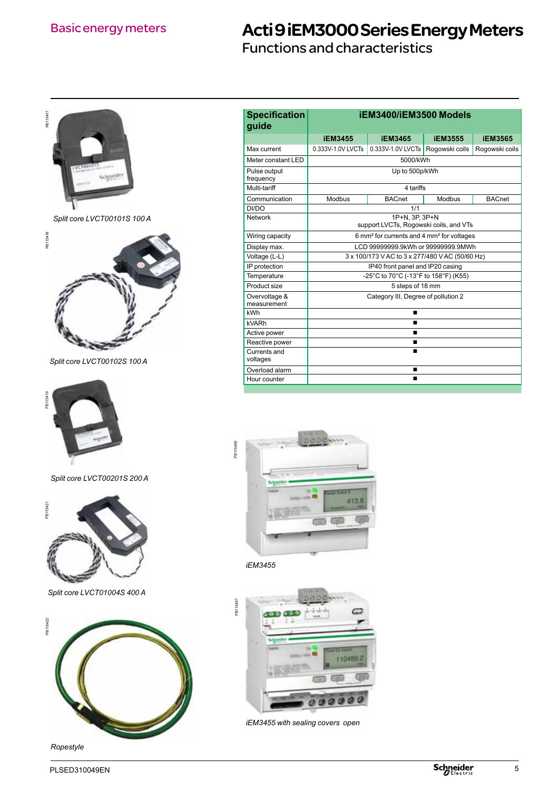Functions and characteristics



*Ropestyle*

| <b>Specification</b><br>guide                                       | iEM3400/iEM3500 Models                                            |                   |                |                |  |  |  |
|---------------------------------------------------------------------|-------------------------------------------------------------------|-------------------|----------------|----------------|--|--|--|
|                                                                     | <b>iEM3455</b>                                                    | <b>iEM3565</b>    |                |                |  |  |  |
| Max current                                                         | 0.333V-1.0V LVCTs                                                 | 0.333V-1.0V LVCTs | Rogowski coils | Rogowski coils |  |  |  |
| Meter constant LED                                                  | 5000/kWh                                                          |                   |                |                |  |  |  |
| Pulse output<br>frequency                                           |                                                                   | Up to 500p/kWh    |                |                |  |  |  |
| Multi-tariff                                                        |                                                                   | 4 tariffs         |                |                |  |  |  |
| Communication                                                       | Modbus                                                            | <b>BACnet</b>     | Modbus         | <b>BACnet</b>  |  |  |  |
| DI/DO                                                               |                                                                   | 1/1               |                |                |  |  |  |
| <b>Network</b>                                                      | 1P+N, 3P, 3P+N<br>support LVCTs, Rogowski coils, and VTs          |                   |                |                |  |  |  |
| Wiring capacity                                                     | 6 mm <sup>2</sup> for currents and 4 mm <sup>2</sup> for voltages |                   |                |                |  |  |  |
| Display max.                                                        | LCD 99999999.9kWh or 99999999.9MWh                                |                   |                |                |  |  |  |
| Voltage (L-L)                                                       | 3 x 100/173 V AC to 3 x 277/480 V AC (50/60 Hz)                   |                   |                |                |  |  |  |
| IP protection                                                       | IP40 front panel and IP20 casing                                  |                   |                |                |  |  |  |
| Temperature                                                         | -25°C to 70°C (-13°F to 158°F) (K55)                              |                   |                |                |  |  |  |
| Product size                                                        | 5 steps of 18 mm                                                  |                   |                |                |  |  |  |
| Overvoltage &<br>Category III, Degree of pollution 2<br>measurement |                                                                   |                   |                |                |  |  |  |
| kWh                                                                 |                                                                   | $\blacksquare$    |                |                |  |  |  |
| kVARh<br>▬                                                          |                                                                   |                   |                |                |  |  |  |
| Active power                                                        | $\blacksquare$                                                    |                   |                |                |  |  |  |
| Reactive power                                                      | ■                                                                 |                   |                |                |  |  |  |
| Currents and<br>voltages                                            | $\blacksquare$                                                    |                   |                |                |  |  |  |
| Overload alarm                                                      |                                                                   | ▬                 |                |                |  |  |  |
| Hour counter<br>▬                                                   |                                                                   |                   |                |                |  |  |  |



*iEM3455*



*iEM3455 with sealing covers open*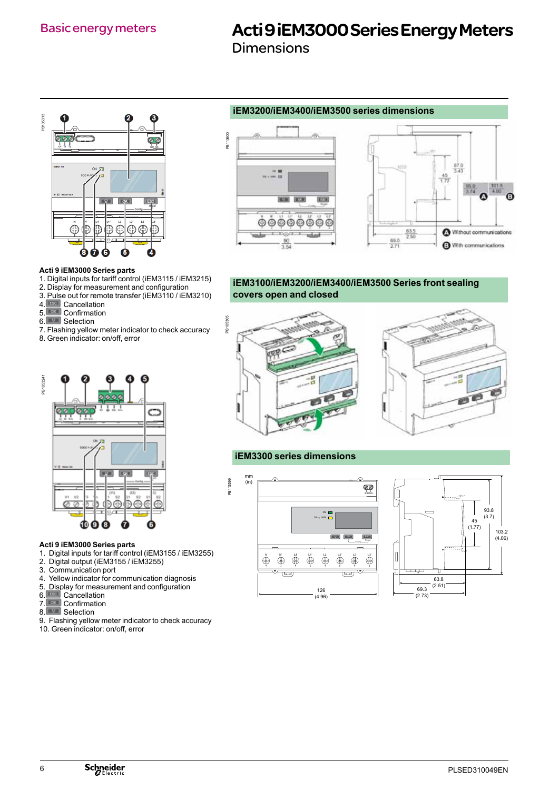Dimensions



### **Acti 9 iEM3000 Series parts**

- 1. Digital inputs for tariff control (iEM3115 / iEM3215)
- 2. Display for measurement and configuration
- 3. Pulse out for remote transfer (iEM3110 / iEM3210)
- 4. Cancellation
- 5. Confirmation
- 6.<sup>1</sup> Selection
- 7. Flashing yellow meter indicator to check accuracy
- 8. Green indicator: on/off, error



#### **Acti 9 iEM3000 Series parts**

- 1. Digital inputs for tariff control (iEM3155 / iEM3255)
- 2. Digital output (iEM3155 / iEM3255)
- 3. Communication port
- 4. Yellow indicator for communication diagnosis
- 5. Display for measurement and configuration
- 6. Cancellation
- 7. Confirmation
- 8. Selection
- 9. Flashing yellow meter indicator to check accuracy
- 10. Green indicator: on/off, error

### **iEM3200/iEM3400/iEM3500 series dimensions**





### **iEM3100/iEM3200/iEM3400/iEM3500 Series front sealing covers open and closed**



### **iEM3300 series dimensions**

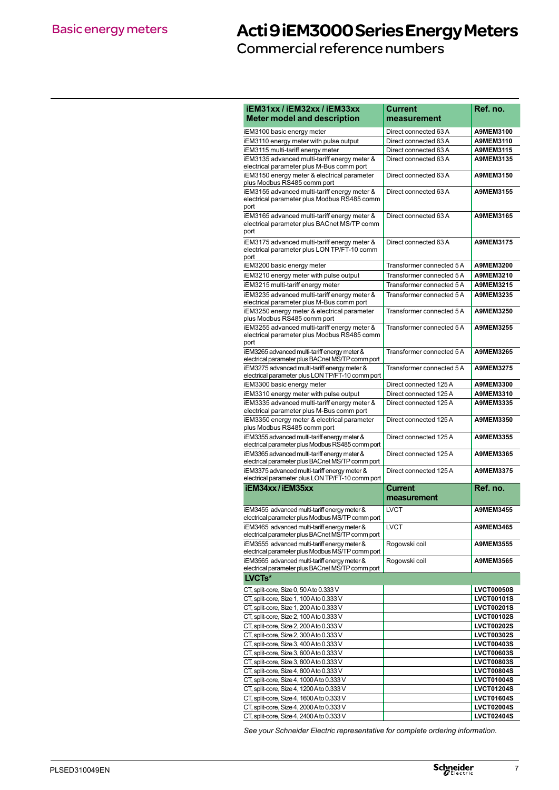Commercial reference numbers

| iEM31xx / iEM32xx / iEM33xx                                                                      | Current                   | Ref. no.                               |
|--------------------------------------------------------------------------------------------------|---------------------------|----------------------------------------|
| <b>Meter model and description</b>                                                               | measurement               |                                        |
| iEM3100 basic energy meter                                                                       | Direct connected 63 A     | A9MEM3100                              |
| iEM3110 energy meter with pulse output                                                           | Direct connected 63 A     | A9MEM3110                              |
| iEM3115 multi-tariff energy meter                                                                | Direct connected 63 A     | A9MEM3115                              |
| iEM3135 advanced multi-tariff energy meter &                                                     | Direct connected 63 A     | A9MEM3135                              |
| electrical parameter plus M-Bus comm port                                                        |                           |                                        |
| iEM3150 energy meter & electrical parameter                                                      | Direct connected 63 A     | A9MEM3150                              |
| plus Modbus RS485 comm port                                                                      |                           |                                        |
| iEM3155 advanced multi-tariff energy meter &<br>electrical parameter plus Modbus RS485 comm      | Direct connected 63 A     | A9MEM3155                              |
| port                                                                                             |                           |                                        |
| iEM3165 advanced multi-tariff energy meter &                                                     | Direct connected 63 A     | A9MEM3165                              |
| electrical parameter plus BACnet MS/TP comm                                                      |                           |                                        |
| port                                                                                             |                           |                                        |
| iEM3175 advanced multi-tariff energy meter &                                                     | Direct connected 63 A     | A9MEM3175                              |
| electrical parameter plus LON TP/FT-10 comm                                                      |                           |                                        |
| port<br>iEM3200 basic energy meter                                                               | Transformer connected 5 A | A9MEM3200                              |
| iEM3210 energy meter with pulse output                                                           | Transformer connected 5 A | A9MEM3210                              |
| iEM3215 multi-tariff energy meter                                                                | Transformer connected 5 A | A9MEM3215                              |
| iEM3235 advanced multi-tariff energy meter &                                                     | Transformer connected 5 A | A9MEM3235                              |
| electrical parameter plus M-Bus comm port                                                        |                           |                                        |
| iEM3250 energy meter & electrical parameter                                                      | Transformer connected 5 A | A9MEM3250                              |
| plus Modbus RS485 comm port                                                                      |                           |                                        |
| iEM3255 advanced multi-tariff energy meter &                                                     | Transformer connected 5 A | A9MEM3255                              |
| electrical parameter plus Modbus RS485 comm<br>port                                              |                           |                                        |
| iEM3265 advanced multi-tariff energy meter &                                                     | Transformer connected 5 A | A9MEM3265                              |
| electrical parameter plus BACnet MS/TP comm port                                                 |                           |                                        |
| iEM3275 advanced multi-tariff energy meter &                                                     | Transformer connected 5 A | <b>A9MEM3275</b>                       |
| electrical parameter plus LON TP/FT-10 comm port                                                 |                           |                                        |
| iEM3300 basic energy meter                                                                       | Direct connected 125 A    | A9MEM3300                              |
| iEM3310 energy meter with pulse output                                                           | Direct connected 125 A    | A9MEM3310                              |
| iEM3335 advanced multi-tariff energy meter &                                                     | Direct connected 125 A    | A9MEM3335                              |
| electrical parameter plus M-Bus comm port                                                        |                           | A9MEM3350                              |
| iEM3350 energy meter & electrical parameter<br>plus Modbus RS485 comm port                       | Direct connected 125 A    |                                        |
| iEM3355 advanced multi-tariff energy meter &                                                     | Direct connected 125 A    | A9MEM3355                              |
| electrical parameter plus Modbus RS485 comm port                                                 |                           |                                        |
| iEM3365 advanced multi-tariff energy meter &                                                     | Direct connected 125 A    | A9MEM3365                              |
| electrical parameter plus BACnet MS/TP comm port                                                 |                           |                                        |
| iEM3375 advanced multi-tariff energy meter &<br>electrical parameter plus LON TP/FT-10 comm port | Direct connected 125 A    | A9MEM3375                              |
| iEM34xx/iEM35xx                                                                                  | Current                   | Ref. no.                               |
|                                                                                                  | measurement               |                                        |
|                                                                                                  |                           |                                        |
| iEM3455 advanced multi-tariff energy meter &<br>electrical parameter plus Modbus MS/TP comm port | <b>LVCT</b>               | A9MEM3455                              |
| iEM3465 advanced multi-tariff energy meter &                                                     | LVCT                      | A9MEM3465                              |
| electrical parameter plus BACnet MS/TP comm port                                                 |                           |                                        |
| iEM3555 advanced multi-tariff energy meter &                                                     | Rogowski coil             | A9MEM3555                              |
| electrical parameter plus Modbus MS/TP comm port                                                 |                           |                                        |
| iEM3565 advanced multi-tariff energy meter &                                                     | Rogowski coil             | A9MEM3565                              |
| electrical parameter plus BACnet MS/TP comm port<br>LVCTs*                                       |                           |                                        |
|                                                                                                  |                           |                                        |
| CT, split-core, Size 0, 50 A to 0.333 V                                                          |                           | <b>LVCT00050S</b>                      |
| CT, split-core, Size 1, 100 A to 0.333 V                                                         |                           | <b>LVCT00101S</b>                      |
| CT, split-core, Size 1, 200 A to 0.333 V                                                         |                           | <b>LVCT00201S</b>                      |
| CT, split-core, Size 2, 100 A to 0.333 V<br>CT, split-core, Size 2, 200 A to 0.333 V             |                           | <b>LVCT00102S</b><br><b>LVCT00202S</b> |
| CT, split-core, Size 2, 300 A to 0.333 V                                                         |                           | <b>LVCT00302S</b>                      |
| CT, split-core, Size 3, 400 A to 0.333 V                                                         |                           | <b>LVCT00403S</b>                      |
| CT, split-core, Size 3, 600 A to 0.333 V                                                         |                           | <b>LVCT00603S</b>                      |
| CT, split-core, Size 3, 800 A to 0.333 V                                                         |                           | <b>LVCT00803S</b>                      |
| CT, split-core, Size 4, 800 A to 0.333 V                                                         |                           | <b>LVCT00804S</b>                      |
| CT, split-core, Size 4, 1000 A to 0.333 V                                                        |                           | <b>LVCT01004S</b>                      |
| CT, split-core, Size 4, 1200 A to 0.333 V                                                        |                           | <b>LVCT01204S</b>                      |
| CT, split-core, Size 4, 1600 A to 0.333 V                                                        |                           | <b>LVCT01604S</b>                      |
| CT, split-core, Size 4, 2000 A to 0.333 V                                                        |                           | <b>LVCT02004S</b>                      |
| CT, split-core, Size 4, 2400 A to 0.333 V                                                        |                           | <b>LVCT02404S</b>                      |

*See your Schneider Electric representative for complete ordering information.*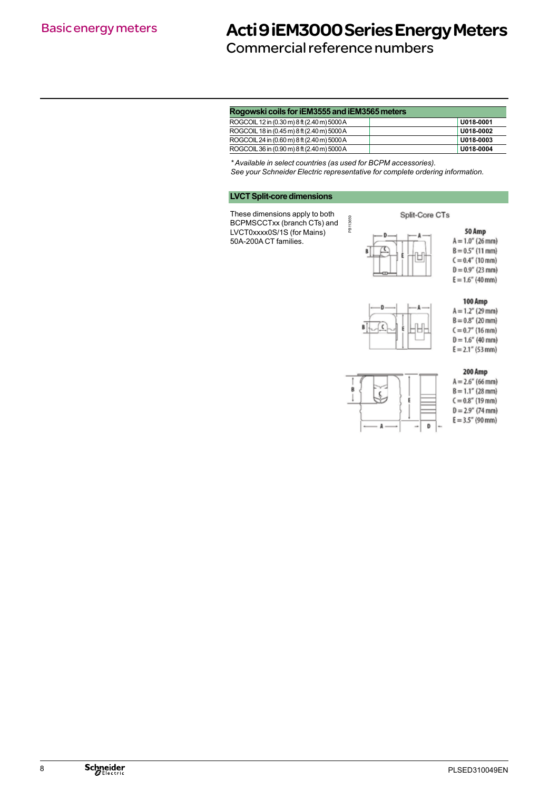### Commercial reference numbers

| Rogowski coils for iEM3555 and iEM3565 meters |
|-----------------------------------------------|
|-----------------------------------------------|

| ROGCOIL 12 in (0.30 m) 8 ft (2.40 m) 5000 A | U018-0001 |
|---------------------------------------------|-----------|
| ROGCOIL 18 in (0.45 m) 8 ft (2.40 m) 5000 A | U018-0002 |
| ROGCOIL 24 in (0.60 m) 8 ft (2.40 m) 5000 A | U018-0003 |
| ROGCOIL 36 in (0.90 m) 8 ft (2.40 m) 5000 A | U018-0004 |

*\* Available in select countries (as used for BCPM accessories).* 

*See your Schneider Electric representative for complete ordering information.*

PB113659

PB113659

### **LVCT Split-core dimensions**

 $\overline{1}$ These dimensions apply to both BCPMSCCTxx (branch CTs) and LVCT0xxxx0S/1S (for Mains) 50A-200A CT families.



50 Amp





 $A = 1.2''$  (29 mm)  $B = 0.8''$  (20 mm)  $C = 0.7''$  (16 mm)  $D = 1.6''$  (40 mm)  $E = 2.1''$  (53 mm)



200 Amp  $A = 2.6'' (66$  mm)  $B = 1.1''$  (28 mm)  $C = 0.8''$  (19 mm)  $D = 2.9''$  (74 mm)

 $E = 3.5''$  (90 mm)

100 Amp